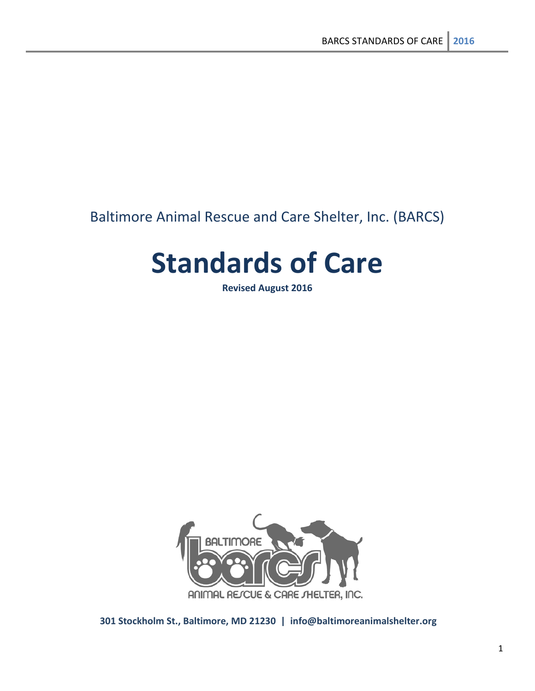# Baltimore Animal Rescue and Care Shelter, Inc. (BARCS)

# **Standards of Care**

**Revised August 2016**



**301 Stockholm St., Baltimore, MD 21230 | info@baltimoreanimalshelter.org**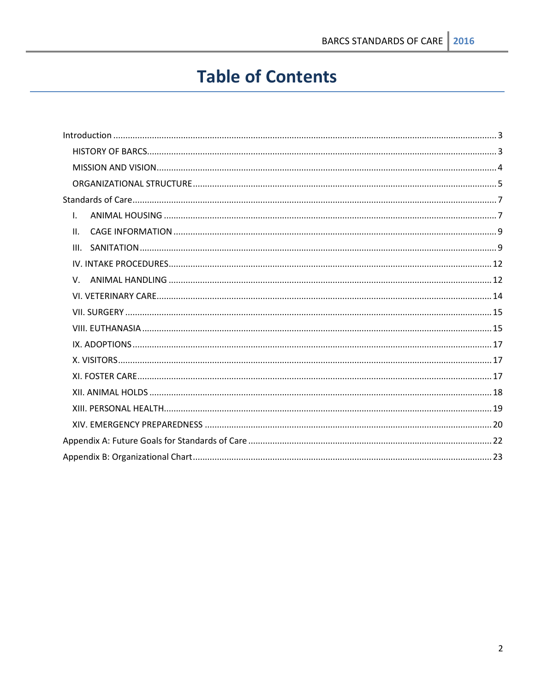# **Table of Contents**

| Τ.  |  |
|-----|--|
| II. |  |
|     |  |
|     |  |
|     |  |
|     |  |
|     |  |
|     |  |
|     |  |
|     |  |
|     |  |
|     |  |
|     |  |
|     |  |
|     |  |
|     |  |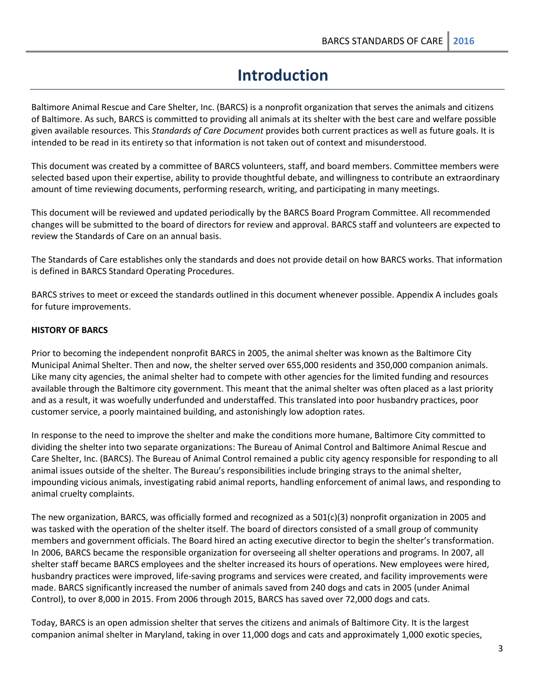# **Introduction**

<span id="page-2-0"></span>Baltimore Animal Rescue and Care Shelter, Inc. (BARCS) is a nonprofit organization that serves the animals and citizens of Baltimore. As such, BARCS is committed to providing all animals at its shelter with the best care and welfare possible given available resources. This *Standards of Care Document* provides both current practices as well as future goals. It is intended to be read in its entirety so that information is not taken out of context and misunderstood.

This document was created by a committee of BARCS volunteers, staff, and board members. Committee members were selected based upon their expertise, ability to provide thoughtful debate, and willingness to contribute an extraordinary amount of time reviewing documents, performing research, writing, and participating in many meetings.

This document will be reviewed and updated periodically by the BARCS Board Program Committee. All recommended changes will be submitted to the board of directors for review and approval. BARCS staff and volunteers are expected to review the Standards of Care on an annual basis.

The Standards of Care establishes only the standards and does not provide detail on how BARCS works. That information is defined in BARCS Standard Operating Procedures.

BARCS strives to meet or exceed the standards outlined in this document whenever possible. Appendix A includes goals for future improvements.

# <span id="page-2-1"></span>**HISTORY OF BARCS**

Prior to becoming the independent nonprofit BARCS in 2005, the animal shelter was known as the Baltimore City Municipal Animal Shelter. Then and now, the shelter served over 655,000 residents and 350,000 companion animals. Like many city agencies, the animal shelter had to compete with other agencies for the limited funding and resources available through the Baltimore city government. This meant that the animal shelter was often placed as a last priority and as a result, it was woefully underfunded and understaffed. This translated into poor husbandry practices, poor customer service, a poorly maintained building, and astonishingly low adoption rates.

In response to the need to improve the shelter and make the conditions more humane, Baltimore City committed to dividing the shelter into two separate organizations: The Bureau of Animal Control and Baltimore Animal Rescue and Care Shelter, Inc. (BARCS). The Bureau of Animal Control remained a public city agency responsible for responding to all animal issues outside of the shelter. The Bureau's responsibilities include bringing strays to the animal shelter, impounding vicious animals, investigating rabid animal reports, handling enforcement of animal laws, and responding to animal cruelty complaints.

The new organization, BARCS, was officially formed and recognized as a 501(c)(3) nonprofit organization in 2005 and was tasked with the operation of the shelter itself. The board of directors consisted of a small group of community members and government officials. The Board hired an acting executive director to begin the shelter's transformation. In 2006, BARCS became the responsible organization for overseeing all shelter operations and programs. In 2007, all shelter staff became BARCS employees and the shelter increased its hours of operations. New employees were hired, husbandry practices were improved, life-saving programs and services were created, and facility improvements were made. BARCS significantly increased the number of animals saved from 240 dogs and cats in 2005 (under Animal Control), to over 8,000 in 2015. From 2006 through 2015, BARCS has saved over 72,000 dogs and cats.

Today, BARCS is an open admission shelter that serves the citizens and animals of Baltimore City. It is the largest companion animal shelter in Maryland, taking in over 11,000 dogs and cats and approximately 1,000 exotic species,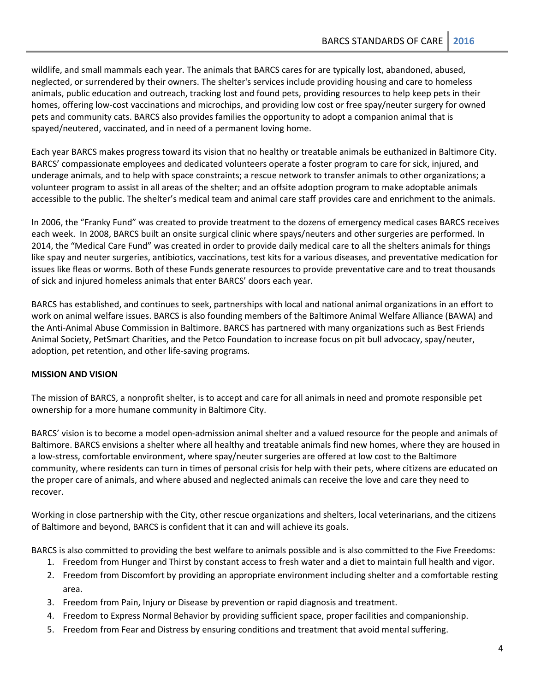wildlife, and small mammals each year. The animals that BARCS cares for are typically lost, abandoned, abused, neglected, or surrendered by their owners. The shelter's services include providing housing and care to homeless animals, public education and outreach, tracking lost and found pets, providing resources to help keep pets in their homes, offering low-cost vaccinations and microchips, and providing low cost or free spay/neuter surgery for owned pets and community cats. BARCS also provides families the opportunity to adopt a companion animal that is spayed/neutered, vaccinated, and in need of a permanent loving home.

Each year BARCS makes progress toward its vision that no healthy or treatable animals be euthanized in Baltimore City. BARCS' compassionate employees and dedicated volunteers operate a foster program to care for sick, injured, and underage animals, and to help with space constraints; a rescue network to transfer animals to other organizations; a volunteer program to assist in all areas of the shelter; and an offsite adoption program to make adoptable animals accessible to the public. The shelter's medical team and animal care staff provides care and enrichment to the animals.

In 2006, the "Franky Fund" was created to provide treatment to the dozens of emergency medical cases BARCS receives each week. In 2008, BARCS built an onsite surgical clinic where spays/neuters and other surgeries are performed. In 2014, the "Medical Care Fund" was created in order to provide daily medical care to all the shelters animals for things like spay and neuter surgeries, antibiotics, vaccinations, test kits for a various diseases, and preventative medication for issues like fleas or worms. Both of these Funds generate resources to provide preventative care and to treat thousands of sick and injured homeless animals that enter BARCS' doors each year.

BARCS has established, and continues to seek, partnerships with local and national animal organizations in an effort to work on animal welfare issues. BARCS is also founding members of the Baltimore Animal Welfare Alliance (BAWA) and the Anti-Animal Abuse Commission in Baltimore. BARCS has partnered with many organizations such as Best Friends Animal Society, PetSmart Charities, and the Petco Foundation to increase focus on pit bull advocacy, spay/neuter, adoption, pet retention, and other life-saving programs.

# <span id="page-3-0"></span>**MISSION AND VISION**

The mission of BARCS, a nonprofit shelter, is to accept and care for all animals in need and promote responsible pet ownership for a more humane community in Baltimore City.

BARCS' vision is to become a model open-admission animal shelter and a valued resource for the people and animals of Baltimore. BARCS envisions a shelter where all healthy and treatable animals find new homes, where they are housed in a low-stress, comfortable environment, where spay/neuter surgeries are offered at low cost to the Baltimore community, where residents can turn in times of personal crisis for help with their pets, where citizens are educated on the proper care of animals, and where abused and neglected animals can receive the love and care they need to recover.

Working in close partnership with the City, other rescue organizations and shelters, local veterinarians, and the citizens of Baltimore and beyond, BARCS is confident that it can and will achieve its goals.

BARCS is also committed to providing the best welfare to animals possible and is also committed to the Five Freedoms:

- 1. Freedom from Hunger and Thirst by constant access to fresh water and a diet to maintain full health and vigor.
- 2. Freedom from Discomfort by providing an appropriate environment including shelter and a comfortable resting area.
- 3. Freedom from Pain, Injury or Disease by prevention or rapid diagnosis and treatment.
- 4. Freedom to Express Normal Behavior by providing sufficient space, proper facilities and companionship.
- 5. Freedom from Fear and Distress by ensuring conditions and treatment that avoid mental suffering.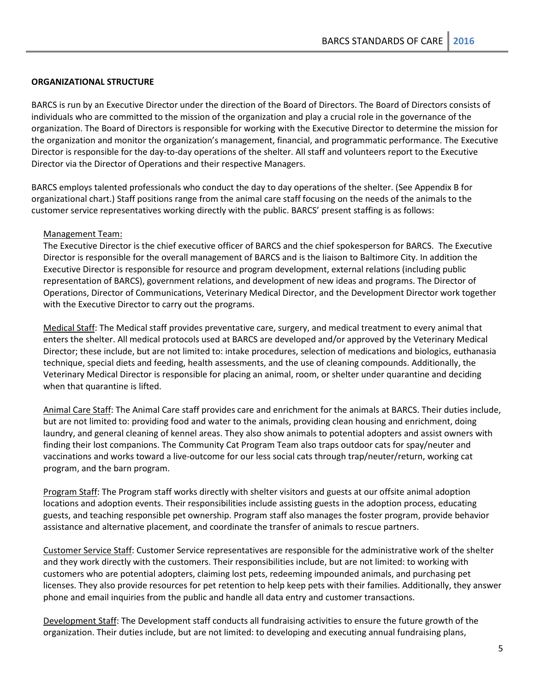# <span id="page-4-0"></span>**ORGANIZATIONAL STRUCTURE**

BARCS is run by an Executive Director under the direction of the Board of Directors. The Board of Directors consists of individuals who are committed to the mission of the organization and play a crucial role in the governance of the organization. The Board of Directors is responsible for working with the Executive Director to determine the mission for the organization and monitor the organization's management, financial, and programmatic performance. The Executive Director is responsible for the day-to-day operations of the shelter. All staff and volunteers report to the Executive Director via the Director of Operations and their respective Managers.

BARCS employs talented professionals who conduct the day to day operations of the shelter. (See Appendix B for organizational chart.) Staff positions range from the animal care staff focusing on the needs of the animals to the customer service representatives working directly with the public. BARCS' present staffing is as follows:

#### Management Team:

The Executive Director is the chief executive officer of BARCS and the chief spokesperson for BARCS. The Executive Director is responsible for the overall management of BARCS and is the liaison to Baltimore City. In addition the Executive Director is responsible for resource and program development, external relations (including public representation of BARCS), government relations, and development of new ideas and programs. The Director of Operations, Director of Communications, Veterinary Medical Director, and the Development Director work together with the Executive Director to carry out the programs.

Medical Staff: The Medical staff provides preventative care, surgery, and medical treatment to every animal that enters the shelter. All medical protocols used at BARCS are developed and/or approved by the Veterinary Medical Director; these include, but are not limited to: intake procedures, selection of medications and biologics, euthanasia technique, special diets and feeding, health assessments, and the use of cleaning compounds. Additionally, the Veterinary Medical Director is responsible for placing an animal, room, or shelter under quarantine and deciding when that quarantine is lifted.

Animal Care Staff: The Animal Care staff provides care and enrichment for the animals at BARCS. Their duties include, but are not limited to: providing food and water to the animals, providing clean housing and enrichment, doing laundry, and general cleaning of kennel areas. They also show animals to potential adopters and assist owners with finding their lost companions. The Community Cat Program Team also traps outdoor cats for spay/neuter and vaccinations and works toward a live-outcome for our less social cats through trap/neuter/return, working cat program, and the barn program.

Program Staff: The Program staff works directly with shelter visitors and guests at our offsite animal adoption locations and adoption events. Their responsibilities include assisting guests in the adoption process, educating guests, and teaching responsible pet ownership. Program staff also manages the foster program, provide behavior assistance and alternative placement, and coordinate the transfer of animals to rescue partners.

Customer Service Staff: Customer Service representatives are responsible for the administrative work of the shelter and they work directly with the customers. Their responsibilities include, but are not limited: to working with customers who are potential adopters, claiming lost pets, redeeming impounded animals, and purchasing pet licenses. They also provide resources for pet retention to help keep pets with their families. Additionally, they answer phone and email inquiries from the public and handle all data entry and customer transactions.

Development Staff: The Development staff conducts all fundraising activities to ensure the future growth of the organization. Their duties include, but are not limited: to developing and executing annual fundraising plans,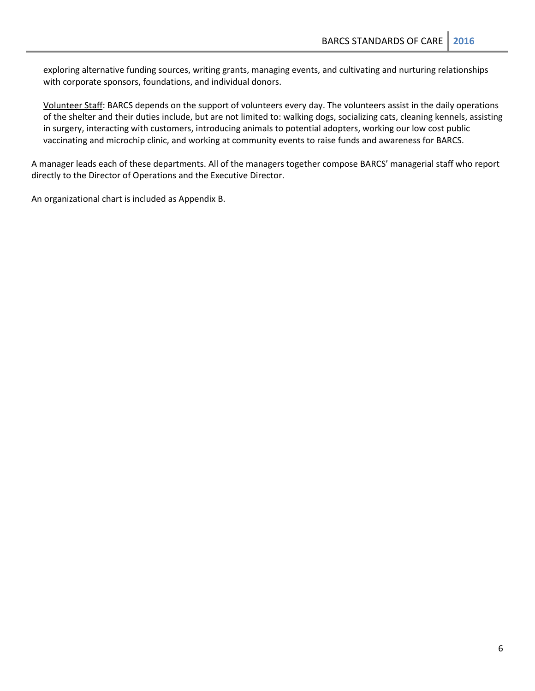exploring alternative funding sources, writing grants, managing events, and cultivating and nurturing relationships with corporate sponsors, foundations, and individual donors.

Volunteer Staff: BARCS depends on the support of volunteers every day. The volunteers assist in the daily operations of the shelter and their duties include, but are not limited to: walking dogs, socializing cats, cleaning kennels, assisting in surgery, interacting with customers, introducing animals to potential adopters, working our low cost public vaccinating and microchip clinic, and working at community events to raise funds and awareness for BARCS.

A manager leads each of these departments. All of the managers together compose BARCS' managerial staff who report directly to the Director of Operations and the Executive Director.

An organizational chart is included as Appendix B.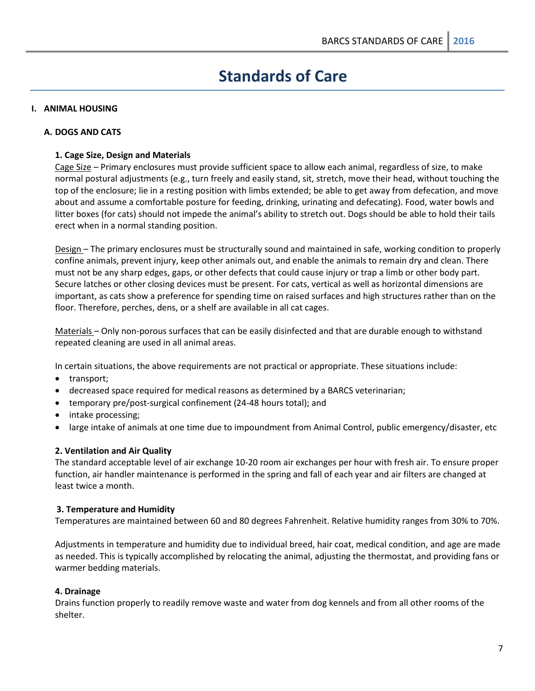# **Standards of Care**

# <span id="page-6-1"></span><span id="page-6-0"></span>**I. ANIMAL HOUSING**

#### **A. DOGS AND CATS**

## **1. Cage Size, Design and Materials**

Cage Size – Primary enclosures must provide sufficient space to allow each animal, regardless of size, to make normal postural adjustments (e.g., turn freely and easily stand, sit, stretch, move their head, without touching the top of the enclosure; lie in a resting position with limbs extended; be able to get away from defecation, and move about and assume a comfortable posture for feeding, drinking, urinating and defecating). Food, water bowls and litter boxes (for cats) should not impede the animal's ability to stretch out. Dogs should be able to hold their tails erect when in a normal standing position.

Design – The primary enclosures must be structurally sound and maintained in safe, working condition to properly confine animals, prevent injury, keep other animals out, and enable the animals to remain dry and clean. There must not be any sharp edges, gaps, or other defects that could cause injury or trap a limb or other body part. Secure latches or other closing devices must be present. For cats, vertical as well as horizontal dimensions are important, as cats show a preference for spending time on raised surfaces and high structures rather than on the floor. Therefore, perches, dens, or a shelf are available in all cat cages.

Materials – Only non-porous surfaces that can be easily disinfected and that are durable enough to withstand repeated cleaning are used in all animal areas.

In certain situations, the above requirements are not practical or appropriate. These situations include:

- transport;
- decreased space required for medical reasons as determined by a BARCS veterinarian;
- temporary pre/post-surgical confinement (24-48 hours total); and
- intake processing;
- large intake of animals at one time due to impoundment from Animal Control, public emergency/disaster, etc

# **2. Ventilation and Air Quality**

The standard acceptable level of air exchange 10-20 room air exchanges per hour with fresh air. To ensure proper function, air handler maintenance is performed in the spring and fall of each year and air filters are changed at least twice a month.

#### **3. Temperature and Humidity**

Temperatures are maintained between 60 and 80 degrees Fahrenheit. Relative humidity ranges from 30% to 70%.

Adjustments in temperature and humidity due to individual breed, hair coat, medical condition, and age are made as needed. This is typically accomplished by relocating the animal, adjusting the thermostat, and providing fans or warmer bedding materials.

#### **4. Drainage**

Drains function properly to readily remove waste and water from dog kennels and from all other rooms of the shelter.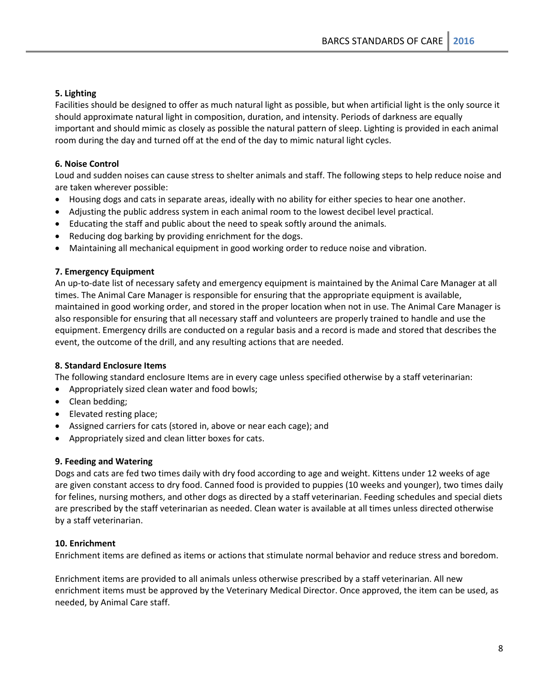# **5. Lighting**

Facilities should be designed to offer as much natural light as possible, but when artificial light is the only source it should approximate natural light in composition, duration, and intensity. Periods of darkness are equally important and should mimic as closely as possible the natural pattern of sleep. Lighting is provided in each animal room during the day and turned off at the end of the day to mimic natural light cycles.

# **6. Noise Control**

Loud and sudden noises can cause stress to shelter animals and staff. The following steps to help reduce noise and are taken wherever possible:

- Housing dogs and cats in separate areas, ideally with no ability for either species to hear one another.
- Adjusting the public address system in each animal room to the lowest decibel level practical.
- Educating the staff and public about the need to speak softly around the animals.
- Reducing dog barking by providing enrichment for the dogs.
- Maintaining all mechanical equipment in good working order to reduce noise and vibration.

## **7. Emergency Equipment**

An up-to-date list of necessary safety and emergency equipment is maintained by the Animal Care Manager at all times. The Animal Care Manager is responsible for ensuring that the appropriate equipment is available, maintained in good working order, and stored in the proper location when not in use. The Animal Care Manager is also responsible for ensuring that all necessary staff and volunteers are properly trained to handle and use the equipment. Emergency drills are conducted on a regular basis and a record is made and stored that describes the event, the outcome of the drill, and any resulting actions that are needed.

#### **8. Standard Enclosure Items**

The following standard enclosure Items are in every cage unless specified otherwise by a staff veterinarian:

- Appropriately sized clean water and food bowls;
- Clean bedding;
- Elevated resting place;
- Assigned carriers for cats (stored in, above or near each cage); and
- Appropriately sized and clean litter boxes for cats.

#### **9. Feeding and Watering**

Dogs and cats are fed two times daily with dry food according to age and weight. Kittens under 12 weeks of age are given constant access to dry food. Canned food is provided to puppies (10 weeks and younger), two times daily for felines, nursing mothers, and other dogs as directed by a staff veterinarian. Feeding schedules and special diets are prescribed by the staff veterinarian as needed. Clean water is available at all times unless directed otherwise by a staff veterinarian.

# **10. Enrichment**

Enrichment items are defined as items or actions that stimulate normal behavior and reduce stress and boredom.

Enrichment items are provided to all animals unless otherwise prescribed by a staff veterinarian. All new enrichment items must be approved by the Veterinary Medical Director. Once approved, the item can be used, as needed, by Animal Care staff.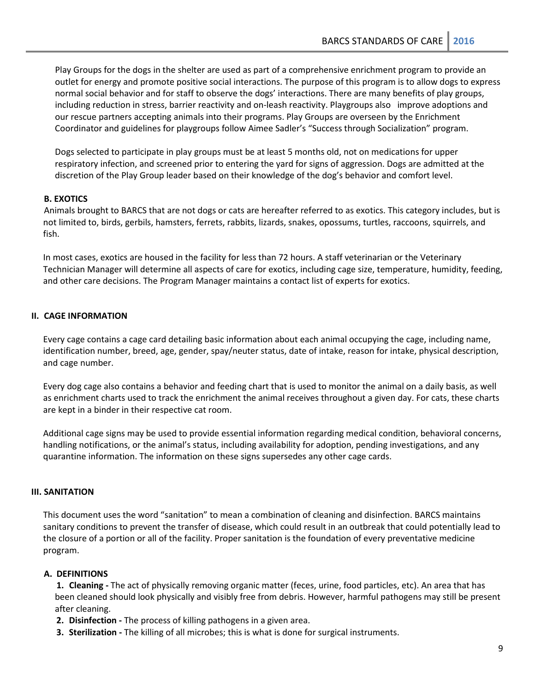Play Groups for the dogs in the shelter are used as part of a comprehensive enrichment program to provide an outlet for energy and promote positive social interactions. The purpose of this program is to allow dogs to express normal social behavior and for staff to observe the dogs' interactions. There are many benefits of play groups, including reduction in stress, barrier reactivity and on-leash reactivity. Playgroups also improve adoptions and our rescue partners accepting animals into their programs. Play Groups are overseen by the Enrichment Coordinator and guidelines for playgroups follow Aimee Sadler's "Success through Socialization" program.

Dogs selected to participate in play groups must be at least 5 months old, not on medications for upper respiratory infection, and screened prior to entering the yard for signs of aggression. Dogs are admitted at the discretion of the Play Group leader based on their knowledge of the dog's behavior and comfort level.

# **B. EXOTICS**

Animals brought to BARCS that are not dogs or cats are hereafter referred to as exotics. This category includes, but is not limited to, birds, gerbils, hamsters, ferrets, rabbits, lizards, snakes, opossums, turtles, raccoons, squirrels, and fish.

In most cases, exotics are housed in the facility for less than 72 hours. A staff veterinarian or the Veterinary Technician Manager will determine all aspects of care for exotics, including cage size, temperature, humidity, feeding, and other care decisions. The Program Manager maintains a contact list of experts for exotics.

# <span id="page-8-0"></span>**II. CAGE INFORMATION**

Every cage contains a cage card detailing basic information about each animal occupying the cage, including name, identification number, breed, age, gender, spay/neuter status, date of intake, reason for intake, physical description, and cage number.

Every dog cage also contains a behavior and feeding chart that is used to monitor the animal on a daily basis, as well as enrichment charts used to track the enrichment the animal receives throughout a given day. For cats, these charts are kept in a binder in their respective cat room.

Additional cage signs may be used to provide essential information regarding medical condition, behavioral concerns, handling notifications, or the animal's status, including availability for adoption, pending investigations, and any quarantine information. The information on these signs supersedes any other cage cards.

#### <span id="page-8-1"></span>**III. SANITATION**

This document uses the word "sanitation" to mean a combination of cleaning and disinfection. BARCS maintains sanitary conditions to prevent the transfer of disease, which could result in an outbreak that could potentially lead to the closure of a portion or all of the facility. Proper sanitation is the foundation of every preventative medicine program.

# **A. DEFINITIONS**

**1. Cleaning -** The act of physically removing organic matter (feces, urine, food particles, etc). An area that has been cleaned should look physically and visibly free from debris. However, harmful pathogens may still be present after cleaning.

- **2. Disinfection -** The process of killing pathogens in a given area.
- **3. Sterilization -** The killing of all microbes; this is what is done for surgical instruments.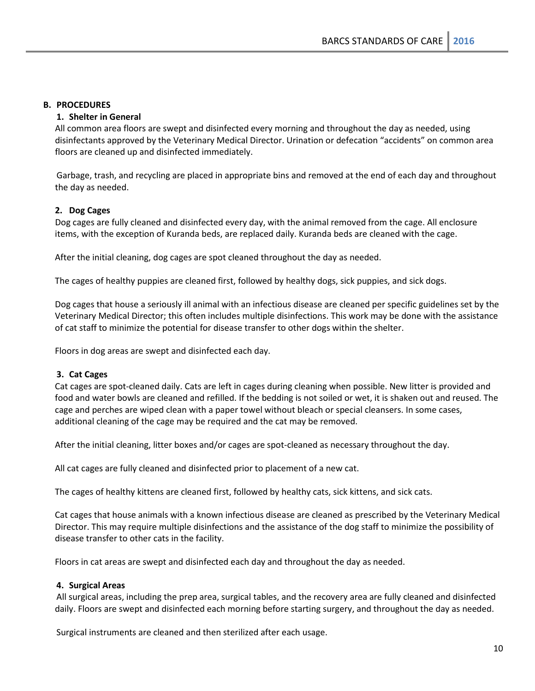# **B. PROCEDURES**

# **1. Shelter in General**

All common area floors are swept and disinfected every morning and throughout the day as needed, using disinfectants approved by the Veterinary Medical Director. Urination or defecation "accidents" on common area floors are cleaned up and disinfected immediately.

Garbage, trash, and recycling are placed in appropriate bins and removed at the end of each day and throughout the day as needed.

## **2. Dog Cages**

Dog cages are fully cleaned and disinfected every day, with the animal removed from the cage. All enclosure items, with the exception of Kuranda beds, are replaced daily. Kuranda beds are cleaned with the cage.

After the initial cleaning, dog cages are spot cleaned throughout the day as needed.

The cages of healthy puppies are cleaned first, followed by healthy dogs, sick puppies, and sick dogs.

Dog cages that house a seriously ill animal with an infectious disease are cleaned per specific guidelines set by the Veterinary Medical Director; this often includes multiple disinfections. This work may be done with the assistance of cat staff to minimize the potential for disease transfer to other dogs within the shelter.

Floors in dog areas are swept and disinfected each day.

# **3. Cat Cages**

Cat cages are spot-cleaned daily. Cats are left in cages during cleaning when possible. New litter is provided and food and water bowls are cleaned and refilled. If the bedding is not soiled or wet, it is shaken out and reused. The cage and perches are wiped clean with a paper towel without bleach or special cleansers. In some cases, additional cleaning of the cage may be required and the cat may be removed.

After the initial cleaning, litter boxes and/or cages are spot-cleaned as necessary throughout the day.

All cat cages are fully cleaned and disinfected prior to placement of a new cat.

The cages of healthy kittens are cleaned first, followed by healthy cats, sick kittens, and sick cats.

Cat cages that house animals with a known infectious disease are cleaned as prescribed by the Veterinary Medical Director. This may require multiple disinfections and the assistance of the dog staff to minimize the possibility of disease transfer to other cats in the facility.

Floors in cat areas are swept and disinfected each day and throughout the day as needed.

# **4. Surgical Areas**

All surgical areas, including the prep area, surgical tables, and the recovery area are fully cleaned and disinfected daily. Floors are swept and disinfected each morning before starting surgery, and throughout the day as needed.

Surgical instruments are cleaned and then sterilized after each usage.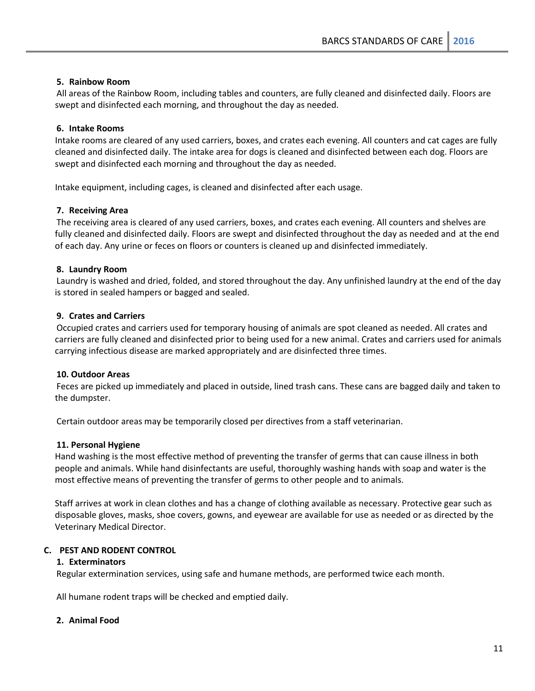# **5. Rainbow Room**

All areas of the Rainbow Room, including tables and counters, are fully cleaned and disinfected daily. Floors are swept and disinfected each morning, and throughout the day as needed.

## **6. Intake Rooms**

Intake rooms are cleared of any used carriers, boxes, and crates each evening. All counters and cat cages are fully cleaned and disinfected daily. The intake area for dogs is cleaned and disinfected between each dog. Floors are swept and disinfected each morning and throughout the day as needed.

Intake equipment, including cages, is cleaned and disinfected after each usage.

## **7. Receiving Area**

The receiving area is cleared of any used carriers, boxes, and crates each evening. All counters and shelves are fully cleaned and disinfected daily. Floors are swept and disinfected throughout the day as needed and at the end of each day. Any urine or feces on floors or counters is cleaned up and disinfected immediately.

## **8. Laundry Room**

Laundry is washed and dried, folded, and stored throughout the day. Any unfinished laundry at the end of the day is stored in sealed hampers or bagged and sealed.

# **9. Crates and Carriers**

Occupied crates and carriers used for temporary housing of animals are spot cleaned as needed. All crates and carriers are fully cleaned and disinfected prior to being used for a new animal. Crates and carriers used for animals carrying infectious disease are marked appropriately and are disinfected three times.

# **10. Outdoor Areas**

Feces are picked up immediately and placed in outside, lined trash cans. These cans are bagged daily and taken to the dumpster.

Certain outdoor areas may be temporarily closed per directives from a staff veterinarian.

#### **11. Personal Hygiene**

Hand washing is the most effective method of preventing the transfer of germs that can cause illness in both people and animals. While hand disinfectants are useful, thoroughly washing hands with soap and water is the most effective means of preventing the transfer of germs to other people and to animals.

Staff arrives at work in clean clothes and has a change of clothing available as necessary. Protective gear such as disposable gloves, masks, shoe covers, gowns, and eyewear are available for use as needed or as directed by the Veterinary Medical Director.

#### **C. PEST AND RODENT CONTROL**

#### **1. Exterminators**

Regular extermination services, using safe and humane methods, are performed twice each month.

All humane rodent traps will be checked and emptied daily.

#### **2. Animal Food**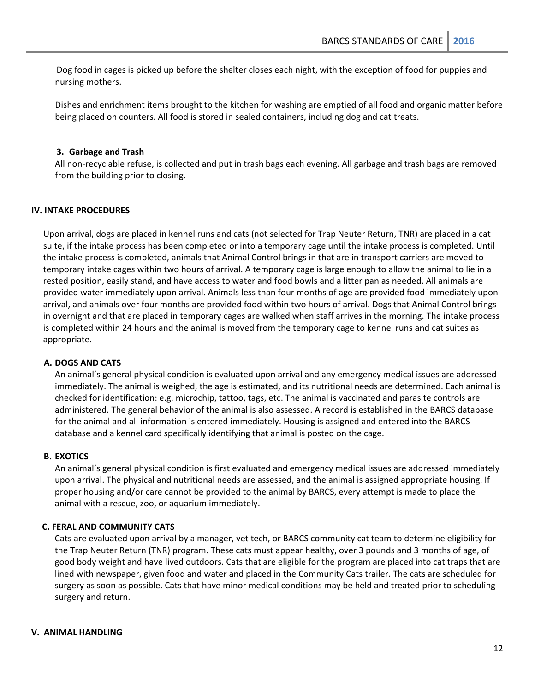Dog food in cages is picked up before the shelter closes each night, with the exception of food for puppies and nursing mothers.

Dishes and enrichment items brought to the kitchen for washing are emptied of all food and organic matter before being placed on counters. All food is stored in sealed containers, including dog and cat treats.

#### **3. Garbage and Trash**

All non-recyclable refuse, is collected and put in trash bags each evening. All garbage and trash bags are removed from the building prior to closing.

#### <span id="page-11-0"></span>**IV. INTAKE PROCEDURES**

Upon arrival, dogs are placed in kennel runs and cats (not selected for Trap Neuter Return, TNR) are placed in a cat suite, if the intake process has been completed or into a temporary cage until the intake process is completed. Until the intake process is completed, animals that Animal Control brings in that are in transport carriers are moved to temporary intake cages within two hours of arrival. A temporary cage is large enough to allow the animal to lie in a rested position, easily stand, and have access to water and food bowls and a litter pan as needed. All animals are provided water immediately upon arrival. Animals less than four months of age are provided food immediately upon arrival, and animals over four months are provided food within two hours of arrival. Dogs that Animal Control brings in overnight and that are placed in temporary cages are walked when staff arrives in the morning. The intake process is completed within 24 hours and the animal is moved from the temporary cage to kennel runs and cat suites as appropriate.

#### **A. DOGS AND CATS**

An animal's general physical condition is evaluated upon arrival and any emergency medical issues are addressed immediately. The animal is weighed, the age is estimated, and its nutritional needs are determined. Each animal is checked for identification: e.g. microchip, tattoo, tags, etc. The animal is vaccinated and parasite controls are administered. The general behavior of the animal is also assessed. A record is established in the BARCS database for the animal and all information is entered immediately. Housing is assigned and entered into the BARCS database and a kennel card specifically identifying that animal is posted on the cage.

#### **B. EXOTICS**

An animal's general physical condition is first evaluated and emergency medical issues are addressed immediately upon arrival. The physical and nutritional needs are assessed, and the animal is assigned appropriate housing. If proper housing and/or care cannot be provided to the animal by BARCS, every attempt is made to place the animal with a rescue, zoo, or aquarium immediately.

#### **C. FERAL AND COMMUNITY CATS**

Cats are evaluated upon arrival by a manager, vet tech, or BARCS community cat team to determine eligibility for the Trap Neuter Return (TNR) program. These cats must appear healthy, over 3 pounds and 3 months of age, of good body weight and have lived outdoors. Cats that are eligible for the program are placed into cat traps that are lined with newspaper, given food and water and placed in the Community Cats trailer. The cats are scheduled for surgery as soon as possible. Cats that have minor medical conditions may be held and treated prior to scheduling surgery and return.

#### <span id="page-11-1"></span>**V. ANIMAL HANDLING**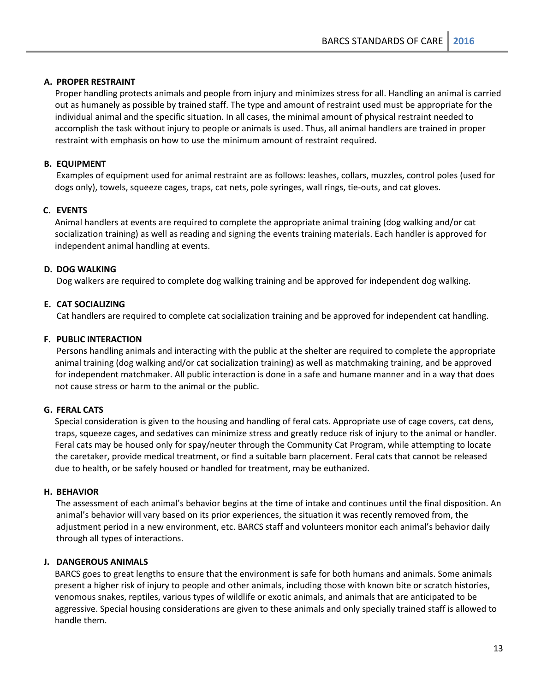# **A. PROPER RESTRAINT**

Proper handling protects animals and people from injury and minimizes stress for all. Handling an animal is carried out as humanely as possible by trained staff. The type and amount of restraint used must be appropriate for the individual animal and the specific situation. In all cases, the minimal amount of physical restraint needed to accomplish the task without injury to people or animals is used. Thus, all animal handlers are trained in proper restraint with emphasis on how to use the minimum amount of restraint required.

# **B. EQUIPMENT**

Examples of equipment used for animal restraint are as follows: leashes, collars, muzzles, control poles (used for dogs only), towels, squeeze cages, traps, cat nets, pole syringes, wall rings, tie-outs, and cat gloves.

# **C. EVENTS**

Animal handlers at events are required to complete the appropriate animal training (dog walking and/or cat socialization training) as well as reading and signing the events training materials. Each handler is approved for independent animal handling at events.

# **D. DOG WALKING**

Dog walkers are required to complete dog walking training and be approved for independent dog walking.

# **E. CAT SOCIALIZING**

Cat handlers are required to complete cat socialization training and be approved for independent cat handling.

# **F. PUBLIC INTERACTION**

Persons handling animals and interacting with the public at the shelter are required to complete the appropriate animal training (dog walking and/or cat socialization training) as well as matchmaking training, and be approved for independent matchmaker. All public interaction is done in a safe and humane manner and in a way that does not cause stress or harm to the animal or the public.

# **G. FERAL CATS**

Special consideration is given to the housing and handling of feral cats. Appropriate use of cage covers, cat dens, traps, squeeze cages, and sedatives can minimize stress and greatly reduce risk of injury to the animal or handler. Feral cats may be housed only for spay/neuter through the Community Cat Program, while attempting to locate the caretaker, provide medical treatment, or find a suitable barn placement. Feral cats that cannot be released due to health, or be safely housed or handled for treatment, may be euthanized.

# **H. BEHAVIOR**

The assessment of each animal's behavior begins at the time of intake and continues until the final disposition. An animal's behavior will vary based on its prior experiences, the situation it was recently removed from, the adjustment period in a new environment, etc. BARCS staff and volunteers monitor each animal's behavior daily through all types of interactions.

# **J. DANGEROUS ANIMALS**

BARCS goes to great lengths to ensure that the environment is safe for both humans and animals. Some animals present a higher risk of injury to people and other animals, including those with known bite or scratch histories, venomous snakes, reptiles, various types of wildlife or exotic animals, and animals that are anticipated to be aggressive. Special housing considerations are given to these animals and only specially trained staff is allowed to handle them.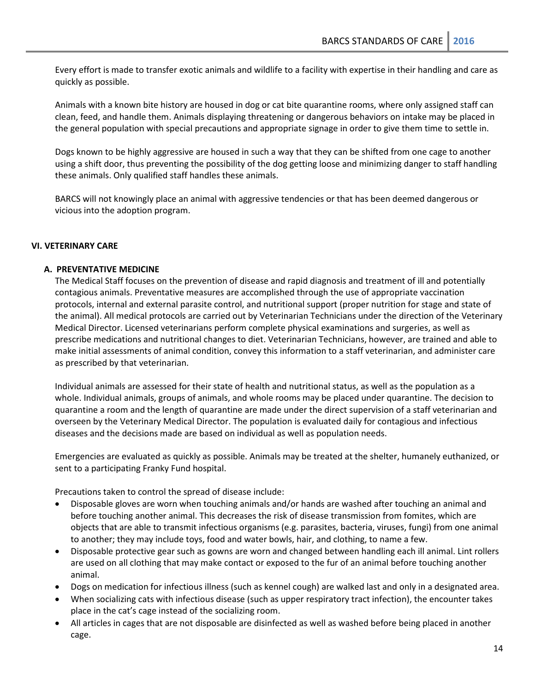Every effort is made to transfer exotic animals and wildlife to a facility with expertise in their handling and care as quickly as possible.

Animals with a known bite history are housed in dog or cat bite quarantine rooms, where only assigned staff can clean, feed, and handle them. Animals displaying threatening or dangerous behaviors on intake may be placed in the general population with special precautions and appropriate signage in order to give them time to settle in.

Dogs known to be highly aggressive are housed in such a way that they can be shifted from one cage to another using a shift door, thus preventing the possibility of the dog getting loose and minimizing danger to staff handling these animals. Only qualified staff handles these animals.

BARCS will not knowingly place an animal with aggressive tendencies or that has been deemed dangerous or vicious into the adoption program.

#### <span id="page-13-0"></span>**VI. VETERINARY CARE**

#### **A. PREVENTATIVE MEDICINE**

The Medical Staff focuses on the prevention of disease and rapid diagnosis and treatment of ill and potentially contagious animals. Preventative measures are accomplished through the use of appropriate vaccination protocols, internal and external parasite control, and nutritional support (proper nutrition for stage and state of the animal). All medical protocols are carried out by Veterinarian Technicians under the direction of the Veterinary Medical Director. Licensed veterinarians perform complete physical examinations and surgeries, as well as prescribe medications and nutritional changes to diet. Veterinarian Technicians, however, are trained and able to make initial assessments of animal condition, convey this information to a staff veterinarian, and administer care as prescribed by that veterinarian.

Individual animals are assessed for their state of health and nutritional status, as well as the population as a whole. Individual animals, groups of animals, and whole rooms may be placed under quarantine. The decision to quarantine a room and the length of quarantine are made under the direct supervision of a staff veterinarian and overseen by the Veterinary Medical Director. The population is evaluated daily for contagious and infectious diseases and the decisions made are based on individual as well as population needs.

Emergencies are evaluated as quickly as possible. Animals may be treated at the shelter, humanely euthanized, or sent to a participating Franky Fund hospital.

Precautions taken to control the spread of disease include:

- Disposable gloves are worn when touching animals and/or hands are washed after touching an animal and before touching another animal. This decreases the risk of disease transmission from fomites, which are objects that are able to transmit infectious organisms (e.g. parasites, bacteria, viruses, fungi) from one animal to another; they may include toys, food and water bowls, hair, and clothing, to name a few.
- Disposable protective gear such as gowns are worn and changed between handling each ill animal. Lint rollers are used on all clothing that may make contact or exposed to the fur of an animal before touching another animal.
- Dogs on medication for infectious illness (such as kennel cough) are walked last and only in a designated area.
- When socializing cats with infectious disease (such as upper respiratory tract infection), the encounter takes place in the cat's cage instead of the socializing room.
- All articles in cages that are not disposable are disinfected as well as washed before being placed in another cage.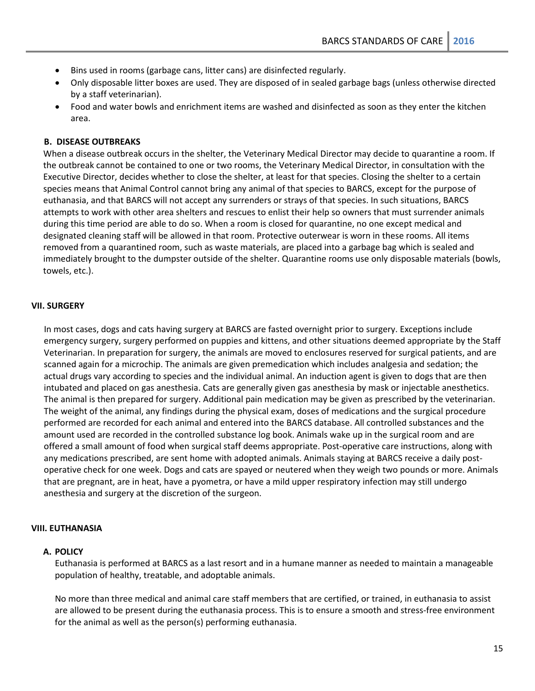- Bins used in rooms (garbage cans, litter cans) are disinfected regularly.
- Only disposable litter boxes are used. They are disposed of in sealed garbage bags (unless otherwise directed by a staff veterinarian).
- Food and water bowls and enrichment items are washed and disinfected as soon as they enter the kitchen area.

#### **B. DISEASE OUTBREAKS**

When a disease outbreak occurs in the shelter, the Veterinary Medical Director may decide to quarantine a room. If the outbreak cannot be contained to one or two rooms, the Veterinary Medical Director, in consultation with the Executive Director, decides whether to close the shelter, at least for that species. Closing the shelter to a certain species means that Animal Control cannot bring any animal of that species to BARCS, except for the purpose of euthanasia, and that BARCS will not accept any surrenders or strays of that species. In such situations, BARCS attempts to work with other area shelters and rescues to enlist their help so owners that must surrender animals during this time period are able to do so. When a room is closed for quarantine, no one except medical and designated cleaning staff will be allowed in that room. Protective outerwear is worn in these rooms. All items removed from a quarantined room, such as waste materials, are placed into a garbage bag which is sealed and immediately brought to the dumpster outside of the shelter. Quarantine rooms use only disposable materials (bowls, towels, etc.).

#### <span id="page-14-0"></span>**VII. SURGERY**

In most cases, dogs and cats having surgery at BARCS are fasted overnight prior to surgery. Exceptions include emergency surgery, surgery performed on puppies and kittens, and other situations deemed appropriate by the Staff Veterinarian. In preparation for surgery, the animals are moved to enclosures reserved for surgical patients, and are scanned again for a microchip. The animals are given premedication which includes analgesia and sedation; the actual drugs vary according to species and the individual animal. An induction agent is given to dogs that are then intubated and placed on gas anesthesia. Cats are generally given gas anesthesia by mask or injectable anesthetics. The animal is then prepared for surgery. Additional pain medication may be given as prescribed by the veterinarian. The weight of the animal, any findings during the physical exam, doses of medications and the surgical procedure performed are recorded for each animal and entered into the BARCS database. All controlled substances and the amount used are recorded in the controlled substance log book. Animals wake up in the surgical room and are offered a small amount of food when surgical staff deems appropriate. Post-operative care instructions, along with any medications prescribed, are sent home with adopted animals. Animals staying at BARCS receive a daily postoperative check for one week. Dogs and cats are spayed or neutered when they weigh two pounds or more. Animals that are pregnant, are in heat, have a pyometra, or have a mild upper respiratory infection may still undergo anesthesia and surgery at the discretion of the surgeon.

# <span id="page-14-1"></span>**VIII. EUTHANASIA**

# **A. POLICY**

Euthanasia is performed at BARCS as a last resort and in a humane manner as needed to maintain a manageable population of healthy, treatable, and adoptable animals.

No more than three medical and animal care staff members that are certified, or trained, in euthanasia to assist are allowed to be present during the euthanasia process. This is to ensure a smooth and stress-free environment for the animal as well as the person(s) performing euthanasia.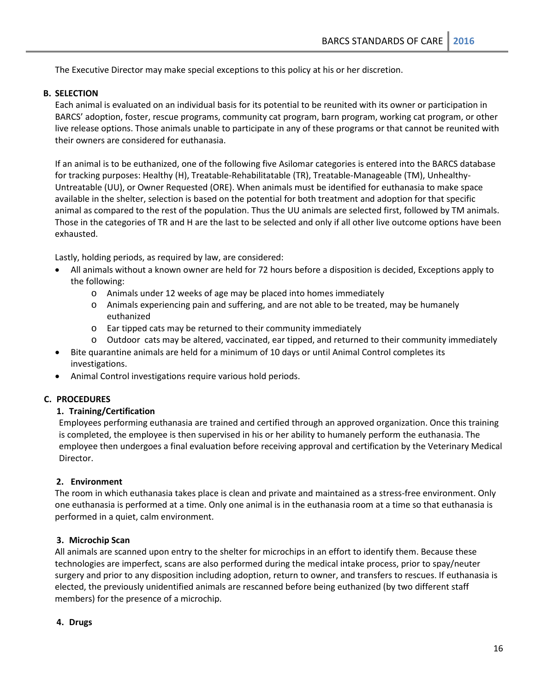The Executive Director may make special exceptions to this policy at his or her discretion.

# **B. SELECTION**

Each animal is evaluated on an individual basis for its potential to be reunited with its owner or participation in BARCS' adoption, foster, rescue programs, community cat program, barn program, working cat program, or other live release options. Those animals unable to participate in any of these programs or that cannot be reunited with their owners are considered for euthanasia.

If an animal is to be euthanized, one of the following five Asilomar categories is entered into the BARCS database for tracking purposes: Healthy (H), Treatable-Rehabilitatable (TR), Treatable-Manageable (TM), Unhealthy-Untreatable (UU), or Owner Requested (ORE). When animals must be identified for euthanasia to make space available in the shelter, selection is based on the potential for both treatment and adoption for that specific animal as compared to the rest of the population. Thus the UU animals are selected first, followed by TM animals. Those in the categories of TR and H are the last to be selected and only if all other live outcome options have been exhausted.

Lastly, holding periods, as required by law, are considered:

- All animals without a known owner are held for 72 hours before a disposition is decided, Exceptions apply to the following:
	- o Animals under 12 weeks of age may be placed into homes immediately
	- o Animals experiencing pain and suffering, and are not able to be treated, may be humanely euthanized
	- o Ear tipped cats may be returned to their community immediately
	- o Outdoor cats may be altered, vaccinated, ear tipped, and returned to their community immediately
- Bite quarantine animals are held for a minimum of 10 days or until Animal Control completes its investigations.
- Animal Control investigations require various hold periods.

# **C. PROCEDURES**

#### **1. Training/Certification**

Employees performing euthanasia are trained and certified through an approved organization. Once this training is completed, the employee is then supervised in his or her ability to humanely perform the euthanasia. The employee then undergoes a final evaluation before receiving approval and certification by the Veterinary Medical Director.

#### **2. Environment**

The room in which euthanasia takes place is clean and private and maintained as a stress-free environment. Only one euthanasia is performed at a time. Only one animal is in the euthanasia room at a time so that euthanasia is performed in a quiet, calm environment.

#### **3. Microchip Scan**

All animals are scanned upon entry to the shelter for microchips in an effort to identify them. Because these technologies are imperfect, scans are also performed during the medical intake process, prior to spay/neuter surgery and prior to any disposition including adoption, return to owner, and transfers to rescues. If euthanasia is elected, the previously unidentified animals are rescanned before being euthanized (by two different staff members) for the presence of a microchip.

### **4. Drugs**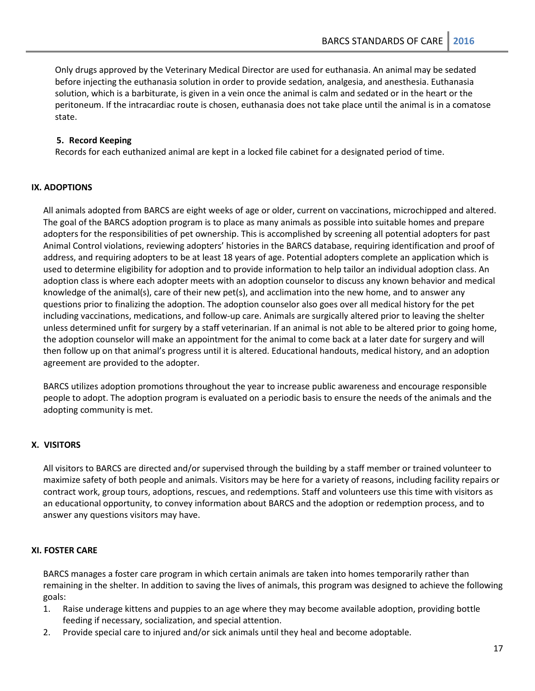Only drugs approved by the Veterinary Medical Director are used for euthanasia. An animal may be sedated before injecting the euthanasia solution in order to provide sedation, analgesia, and anesthesia. Euthanasia solution, which is a barbiturate, is given in a vein once the animal is calm and sedated or in the heart or the peritoneum. If the intracardiac route is chosen, euthanasia does not take place until the animal is in a comatose state.

# **5. Record Keeping**

Records for each euthanized animal are kept in a locked file cabinet for a designated period of time.

# <span id="page-16-0"></span>**IX. ADOPTIONS**

All animals adopted from BARCS are eight weeks of age or older, current on vaccinations, microchipped and altered. The goal of the BARCS adoption program is to place as many animals as possible into suitable homes and prepare adopters for the responsibilities of pet ownership. This is accomplished by screening all potential adopters for past Animal Control violations, reviewing adopters' histories in the BARCS database, requiring identification and proof of address, and requiring adopters to be at least 18 years of age. Potential adopters complete an application which is used to determine eligibility for adoption and to provide information to help tailor an individual adoption class. An adoption class is where each adopter meets with an adoption counselor to discuss any known behavior and medical knowledge of the animal(s), care of their new pet(s), and acclimation into the new home, and to answer any questions prior to finalizing the adoption. The adoption counselor also goes over all medical history for the pet including vaccinations, medications, and follow-up care. Animals are surgically altered prior to leaving the shelter unless determined unfit for surgery by a staff veterinarian. If an animal is not able to be altered prior to going home, the adoption counselor will make an appointment for the animal to come back at a later date for surgery and will then follow up on that animal's progress until it is altered. Educational handouts, medical history, and an adoption agreement are provided to the adopter.

BARCS utilizes adoption promotions throughout the year to increase public awareness and encourage responsible people to adopt. The adoption program is evaluated on a periodic basis to ensure the needs of the animals and the adopting community is met.

#### <span id="page-16-1"></span>**X. VISITORS**

All visitors to BARCS are directed and/or supervised through the building by a staff member or trained volunteer to maximize safety of both people and animals. Visitors may be here for a variety of reasons, including facility repairs or contract work, group tours, adoptions, rescues, and redemptions. Staff and volunteers use this time with visitors as an educational opportunity, to convey information about BARCS and the adoption or redemption process, and to answer any questions visitors may have.

#### <span id="page-16-2"></span>**XI. FOSTER CARE**

BARCS manages a foster care program in which certain animals are taken into homes temporarily rather than remaining in the shelter. In addition to saving the lives of animals, this program was designed to achieve the following goals:

- 1. Raise underage kittens and puppies to an age where they may become available adoption, providing bottle feeding if necessary, socialization, and special attention.
- 2. Provide special care to injured and/or sick animals until they heal and become adoptable.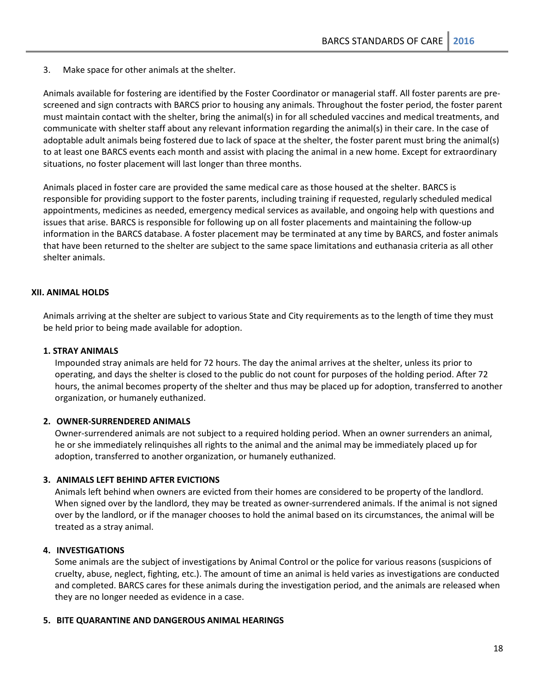3. Make space for other animals at the shelter.

Animals available for fostering are identified by the Foster Coordinator or managerial staff. All foster parents are prescreened and sign contracts with BARCS prior to housing any animals. Throughout the foster period, the foster parent must maintain contact with the shelter, bring the animal(s) in for all scheduled vaccines and medical treatments, and communicate with shelter staff about any relevant information regarding the animal(s) in their care. In the case of adoptable adult animals being fostered due to lack of space at the shelter, the foster parent must bring the animal(s) to at least one BARCS events each month and assist with placing the animal in a new home. Except for extraordinary situations, no foster placement will last longer than three months.

Animals placed in foster care are provided the same medical care as those housed at the shelter. BARCS is responsible for providing support to the foster parents, including training if requested, regularly scheduled medical appointments, medicines as needed, emergency medical services as available, and ongoing help with questions and issues that arise. BARCS is responsible for following up on all foster placements and maintaining the follow-up information in the BARCS database. A foster placement may be terminated at any time by BARCS, and foster animals that have been returned to the shelter are subject to the same space limitations and euthanasia criteria as all other shelter animals.

## <span id="page-17-0"></span>**XII. ANIMAL HOLDS**

Animals arriving at the shelter are subject to various State and City requirements as to the length of time they must be held prior to being made available for adoption.

#### **1. STRAY ANIMALS**

Impounded stray animals are held for 72 hours. The day the animal arrives at the shelter, unless its prior to operating, and days the shelter is closed to the public do not count for purposes of the holding period. After 72 hours, the animal becomes property of the shelter and thus may be placed up for adoption, transferred to another organization, or humanely euthanized.

#### **2. OWNER-SURRENDERED ANIMALS**

Owner-surrendered animals are not subject to a required holding period. When an owner surrenders an animal, he or she immediately relinquishes all rights to the animal and the animal may be immediately placed up for adoption, transferred to another organization, or humanely euthanized.

#### **3. ANIMALS LEFT BEHIND AFTER EVICTIONS**

Animals left behind when owners are evicted from their homes are considered to be property of the landlord. When signed over by the landlord, they may be treated as owner-surrendered animals. If the animal is not signed over by the landlord, or if the manager chooses to hold the animal based on its circumstances, the animal will be treated as a stray animal.

#### **4. INVESTIGATIONS**

Some animals are the subject of investigations by Animal Control or the police for various reasons (suspicions of cruelty, abuse, neglect, fighting, etc.). The amount of time an animal is held varies as investigations are conducted and completed. BARCS cares for these animals during the investigation period, and the animals are released when they are no longer needed as evidence in a case.

#### **5. BITE QUARANTINE AND DANGEROUS ANIMAL HEARINGS**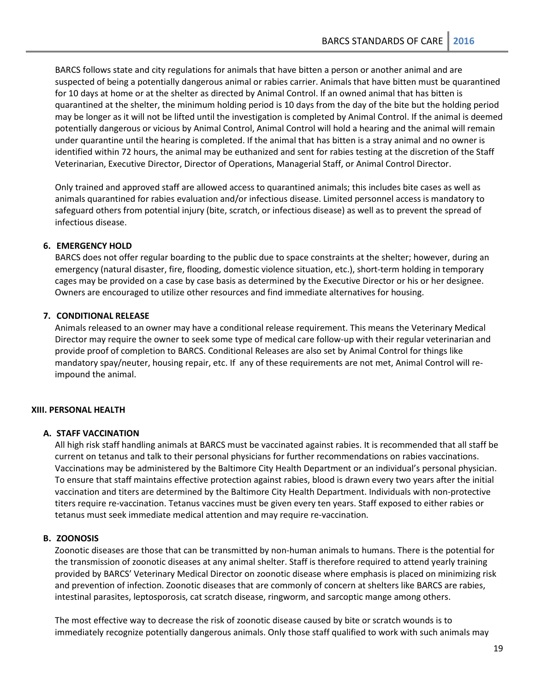BARCS follows state and city regulations for animals that have bitten a person or another animal and are suspected of being a potentially dangerous animal or rabies carrier. Animals that have bitten must be quarantined for 10 days at home or at the shelter as directed by Animal Control. If an owned animal that has bitten is quarantined at the shelter, the minimum holding period is 10 days from the day of the bite but the holding period may be longer as it will not be lifted until the investigation is completed by Animal Control. If the animal is deemed potentially dangerous or vicious by Animal Control, Animal Control will hold a hearing and the animal will remain under quarantine until the hearing is completed. If the animal that has bitten is a stray animal and no owner is identified within 72 hours, the animal may be euthanized and sent for rabies testing at the discretion of the Staff Veterinarian, Executive Director, Director of Operations, Managerial Staff, or Animal Control Director.

Only trained and approved staff are allowed access to quarantined animals; this includes bite cases as well as animals quarantined for rabies evaluation and/or infectious disease. Limited personnel access is mandatory to safeguard others from potential injury (bite, scratch, or infectious disease) as well as to prevent the spread of infectious disease.

# **6. EMERGENCY HOLD**

BARCS does not offer regular boarding to the public due to space constraints at the shelter; however, during an emergency (natural disaster, fire, flooding, domestic violence situation, etc.), short-term holding in temporary cages may be provided on a case by case basis as determined by the Executive Director or his or her designee. Owners are encouraged to utilize other resources and find immediate alternatives for housing.

## **7. CONDITIONAL RELEASE**

Animals released to an owner may have a conditional release requirement. This means the Veterinary Medical Director may require the owner to seek some type of medical care follow-up with their regular veterinarian and provide proof of completion to BARCS. Conditional Releases are also set by Animal Control for things like mandatory spay/neuter, housing repair, etc. If any of these requirements are not met, Animal Control will reimpound the animal.

# <span id="page-18-0"></span>**XIII. PERSONAL HEALTH**

# **A. STAFF VACCINATION**

All high risk staff handling animals at BARCS must be vaccinated against rabies. It is recommended that all staff be current on tetanus and talk to their personal physicians for further recommendations on rabies vaccinations. Vaccinations may be administered by the Baltimore City Health Department or an individual's personal physician. To ensure that staff maintains effective protection against rabies, blood is drawn every two years after the initial vaccination and titers are determined by the Baltimore City Health Department. Individuals with non-protective titers require re-vaccination. Tetanus vaccines must be given every ten years. Staff exposed to either rabies or tetanus must seek immediate medical attention and may require re-vaccination.

#### **B. ZOONOSIS**

Zoonotic diseases are those that can be transmitted by non-human animals to humans. There is the potential for the transmission of zoonotic diseases at any animal shelter. Staff is therefore required to attend yearly training provided by BARCS' Veterinary Medical Director on zoonotic disease where emphasis is placed on minimizing risk and prevention of infection. Zoonotic diseases that are commonly of concern at shelters like BARCS are rabies, intestinal parasites, leptosporosis, cat scratch disease, ringworm, and sarcoptic mange among others.

The most effective way to decrease the risk of zoonotic disease caused by bite or scratch wounds is to immediately recognize potentially dangerous animals. Only those staff qualified to work with such animals may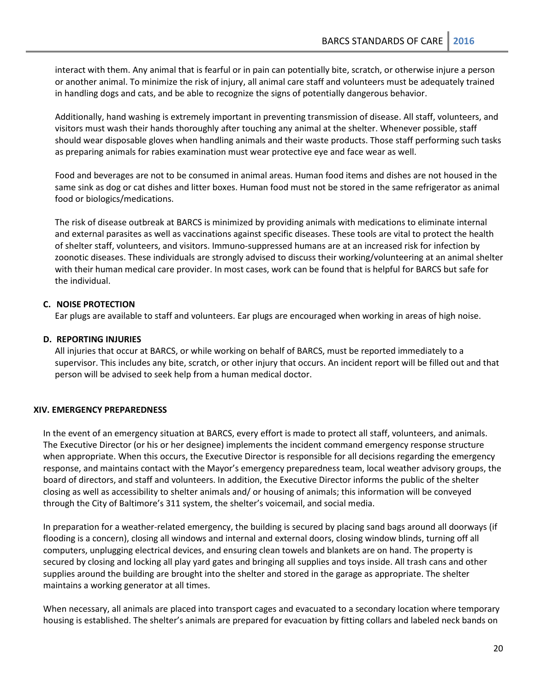interact with them. Any animal that is fearful or in pain can potentially bite, scratch, or otherwise injure a person or another animal. To minimize the risk of injury, all animal care staff and volunteers must be adequately trained in handling dogs and cats, and be able to recognize the signs of potentially dangerous behavior.

Additionally, hand washing is extremely important in preventing transmission of disease. All staff, volunteers, and visitors must wash their hands thoroughly after touching any animal at the shelter. Whenever possible, staff should wear disposable gloves when handling animals and their waste products. Those staff performing such tasks as preparing animals for rabies examination must wear protective eye and face wear as well.

Food and beverages are not to be consumed in animal areas. Human food items and dishes are not housed in the same sink as dog or cat dishes and litter boxes. Human food must not be stored in the same refrigerator as animal food or biologics/medications.

The risk of disease outbreak at BARCS is minimized by providing animals with medications to eliminate internal and external parasites as well as vaccinations against specific diseases. These tools are vital to protect the health of shelter staff, volunteers, and visitors. Immuno-suppressed humans are at an increased risk for infection by zoonotic diseases. These individuals are strongly advised to discuss their working/volunteering at an animal shelter with their human medical care provider. In most cases, work can be found that is helpful for BARCS but safe for the individual.

# **C. NOISE PROTECTION**

Ear plugs are available to staff and volunteers. Ear plugs are encouraged when working in areas of high noise.

# **D. REPORTING INJURIES**

All injuries that occur at BARCS, or while working on behalf of BARCS, must be reported immediately to a supervisor. This includes any bite, scratch, or other injury that occurs. An incident report will be filled out and that person will be advised to seek help from a human medical doctor.

# <span id="page-19-0"></span>**XIV. EMERGENCY PREPAREDNESS**

In the event of an emergency situation at BARCS, every effort is made to protect all staff, volunteers, and animals. The Executive Director (or his or her designee) implements the incident command emergency response structure when appropriate. When this occurs, the Executive Director is responsible for all decisions regarding the emergency response, and maintains contact with the Mayor's emergency preparedness team, local weather advisory groups, the board of directors, and staff and volunteers. In addition, the Executive Director informs the public of the shelter closing as well as accessibility to shelter animals and/ or housing of animals; this information will be conveyed through the City of Baltimore's 311 system, the shelter's voicemail, and social media.

In preparation for a weather-related emergency, the building is secured by placing sand bags around all doorways (if flooding is a concern), closing all windows and internal and external doors, closing window blinds, turning off all computers, unplugging electrical devices, and ensuring clean towels and blankets are on hand. The property is secured by closing and locking all play yard gates and bringing all supplies and toys inside. All trash cans and other supplies around the building are brought into the shelter and stored in the garage as appropriate. The shelter maintains a working generator at all times.

When necessary, all animals are placed into transport cages and evacuated to a secondary location where temporary housing is established. The shelter's animals are prepared for evacuation by fitting collars and labeled neck bands on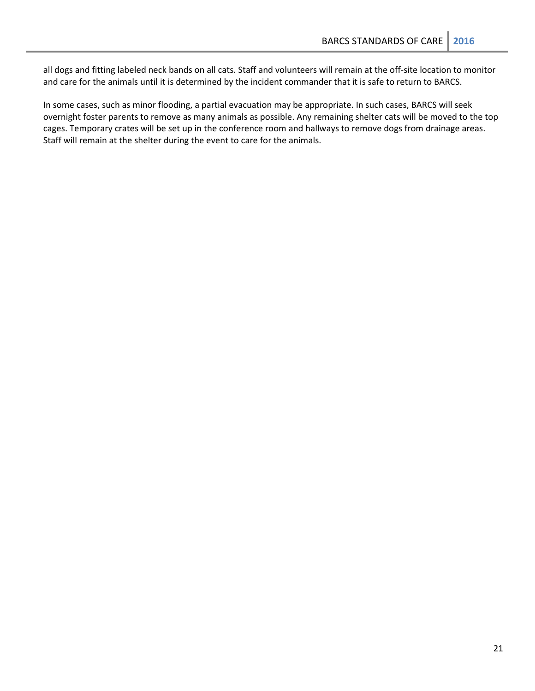all dogs and fitting labeled neck bands on all cats. Staff and volunteers will remain at the off-site location to monitor and care for the animals until it is determined by the incident commander that it is safe to return to BARCS.

In some cases, such as minor flooding, a partial evacuation may be appropriate. In such cases, BARCS will seek overnight foster parents to remove as many animals as possible. Any remaining shelter cats will be moved to the top cages. Temporary crates will be set up in the conference room and hallways to remove dogs from drainage areas. Staff will remain at the shelter during the event to care for the animals.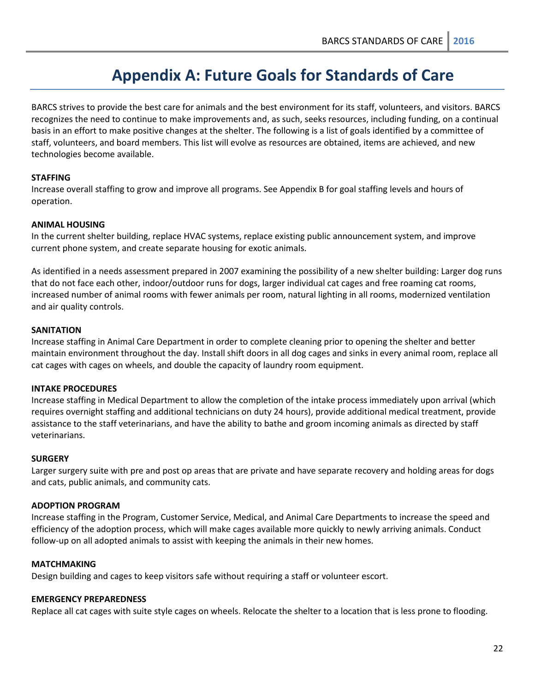# **Appendix A: Future Goals for Standards of Care**

<span id="page-21-0"></span>BARCS strives to provide the best care for animals and the best environment for its staff, volunteers, and visitors. BARCS recognizes the need to continue to make improvements and, as such, seeks resources, including funding, on a continual basis in an effort to make positive changes at the shelter. The following is a list of goals identified by a committee of staff, volunteers, and board members. This list will evolve as resources are obtained, items are achieved, and new technologies become available.

# **STAFFING**

Increase overall staffing to grow and improve all programs. See Appendix B for goal staffing levels and hours of operation.

#### **ANIMAL HOUSING**

In the current shelter building, replace HVAC systems, replace existing public announcement system, and improve current phone system, and create separate housing for exotic animals.

As identified in a needs assessment prepared in 2007 examining the possibility of a new shelter building: Larger dog runs that do not face each other, indoor/outdoor runs for dogs, larger individual cat cages and free roaming cat rooms, increased number of animal rooms with fewer animals per room, natural lighting in all rooms, modernized ventilation and air quality controls.

## **SANITATION**

Increase staffing in Animal Care Department in order to complete cleaning prior to opening the shelter and better maintain environment throughout the day. Install shift doors in all dog cages and sinks in every animal room, replace all cat cages with cages on wheels, and double the capacity of laundry room equipment.

# **INTAKE PROCEDURES**

Increase staffing in Medical Department to allow the completion of the intake process immediately upon arrival (which requires overnight staffing and additional technicians on duty 24 hours), provide additional medical treatment, provide assistance to the staff veterinarians, and have the ability to bathe and groom incoming animals as directed by staff veterinarians.

#### **SURGERY**

Larger surgery suite with pre and post op areas that are private and have separate recovery and holding areas for dogs and cats, public animals, and community cats.

#### **ADOPTION PROGRAM**

Increase staffing in the Program, Customer Service, Medical, and Animal Care Departments to increase the speed and efficiency of the adoption process, which will make cages available more quickly to newly arriving animals. Conduct follow-up on all adopted animals to assist with keeping the animals in their new homes.

#### **MATCHMAKING**

Design building and cages to keep visitors safe without requiring a staff or volunteer escort.

#### **EMERGENCY PREPAREDNESS**

Replace all cat cages with suite style cages on wheels. Relocate the shelter to a location that is less prone to flooding.